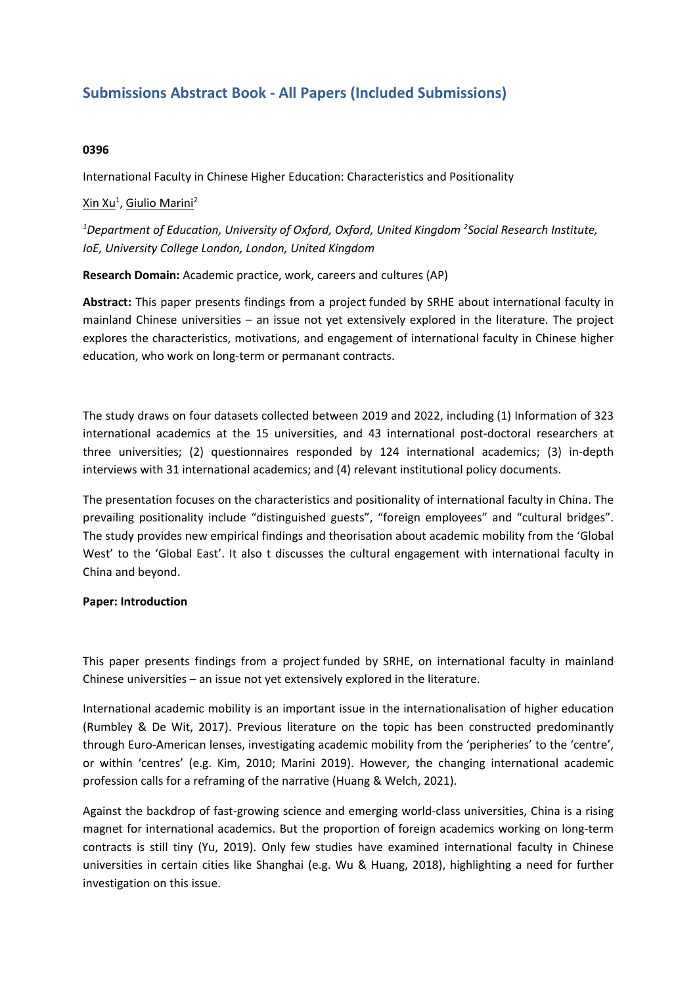# **Submissions Abstract Book - All Papers (Included Submissions)**

## **0396**

International Faculty in Chinese Higher Education: Characteristics and Positionality

# <u>Xin Xu<sup>1</sup>, Giulio Marini<sup>2</sup></u>

*1 Department of Education, University of Oxford, Oxford, United Kingdom <sup>2</sup> Social Research Institute, IoE, University College London, London, United Kingdom*

**Research Domain:** Academic practice, work, careers and cultures (AP)

**Abstract:** This paper presents findings from <sup>a</sup> project funded by SRHE about international faculty in mainland Chinese universities – an issue not yet extensively explored in the literature. The project explores the characteristics, motivations, and engagement of international faculty in Chinese higher education, who work on long-term or permanant contracts.

The study draws on four datasets collected between 2019 and 2022, including (1) Information of 323 international academics at the 15 universities, and 43 international post-doctoral researchers at three universities; (2) questionnaires responded by 124 international academics; (3) in-depth interviews with 31 international academics; and (4) relevant institutional policy documents.

The presentation focuses on the characteristics and positionality of international faculty in China. The prevailing positionality include "distinguished guests", "foreign employees" and "cultural bridges". The study provides new empirical findings and theorisation about academic mobility from the 'Global West' to the 'Global East'. It also <sup>t</sup> discusses the cultural engagement with international faculty in China and beyond.

#### **Paper: Introduction**

This paper presents findings from <sup>a</sup> project funded by SRHE, on international faculty in mainland Chinese universities – an issue not yet extensively explored in the literature.

International academic mobility is an important issue in the internationalisation of higher education (Rumbley & De Wit, 2017). Previous literature on the topic has been constructed predominantly through Euro-American lenses, investigating academic mobility from the 'peripheries' to the 'centre', or within 'centres' (e.g. Kim, 2010; Marini 2019). However, the changing international academic profession calls for <sup>a</sup> reframing of the narrative (Huang & Welch, 2021).

Against the backdrop of fast-growing science and emerging world-class universities, China is <sup>a</sup> rising magnet for international academics. But the proportion of foreign academics working on long-term contracts is still tiny (Yu, 2019). Only few studies have examined international faculty in Chinese universities in certain cities like Shanghai (e.g. Wu & Huang, 2018), highlighting <sup>a</sup> need for further investigation on this issue.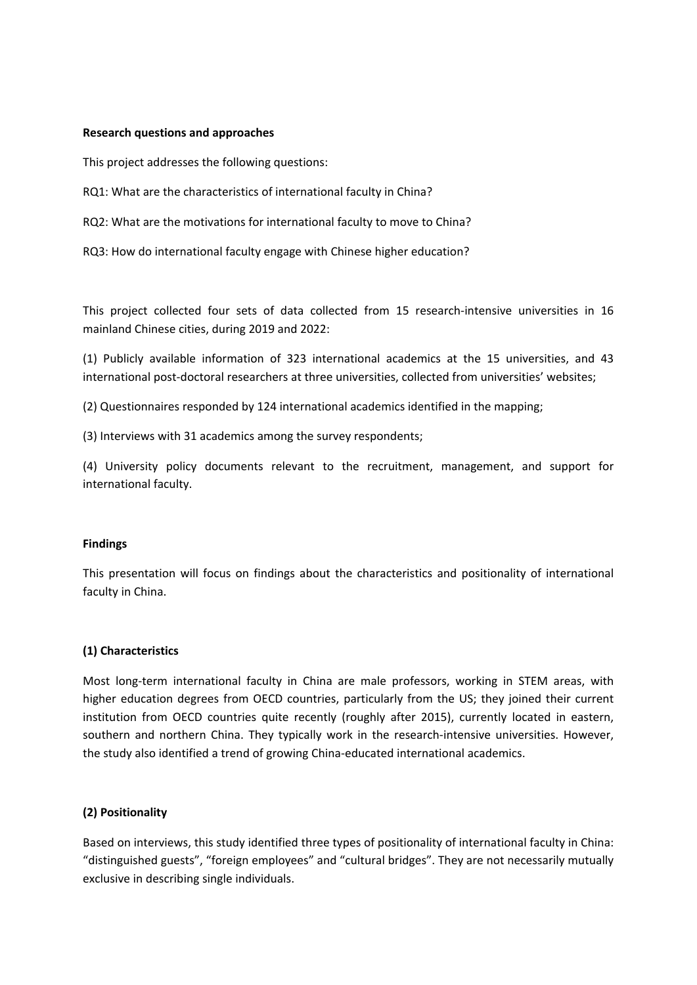#### **Research questions and approaches**

This project addresses the following questions:

RQ1: What are the characteristics of international faculty in China?

RQ2: What are the motivations for international faculty to move to China?

RQ3: How do international faculty engage with Chinese higher education?

This project collected four sets of data collected from 15 research-intensive universities in 16 mainland Chinese cities, during 2019 and 2022:

(1) Publicly available information of 323 international academics at the 15 universities, and 43 international post-doctoral researchers at three universities, collected from universities' websites;

(2) Questionnaires responded by 124 international academics identified in the mapping;

(3) Interviews with 31 academics among the survey respondents;

(4) University policy documents relevant to the recruitment, management, and support for international faculty.

#### **Findings**

This presentation will focus on findings about the characteristics and positionality of international faculty in China.

#### **(1) Characteristics**

Most long-term international faculty in China are male professors, working in STEM areas, with higher education degrees from OECD countries, particularly from the US; they joined their current institution from OECD countries quite recently (roughly after 2015), currently located in eastern, southern and northern China. They typically work in the research-intensive universities. However, the study also identified <sup>a</sup> trend of growing China-educated international academics.

#### **(2) Positionality**

Based on interviews, this study identified three types of positionality of international faculty in China: "distinguished guests", "foreign employees" and "cultural bridges". They are not necessarily mutually exclusive in describing single individuals.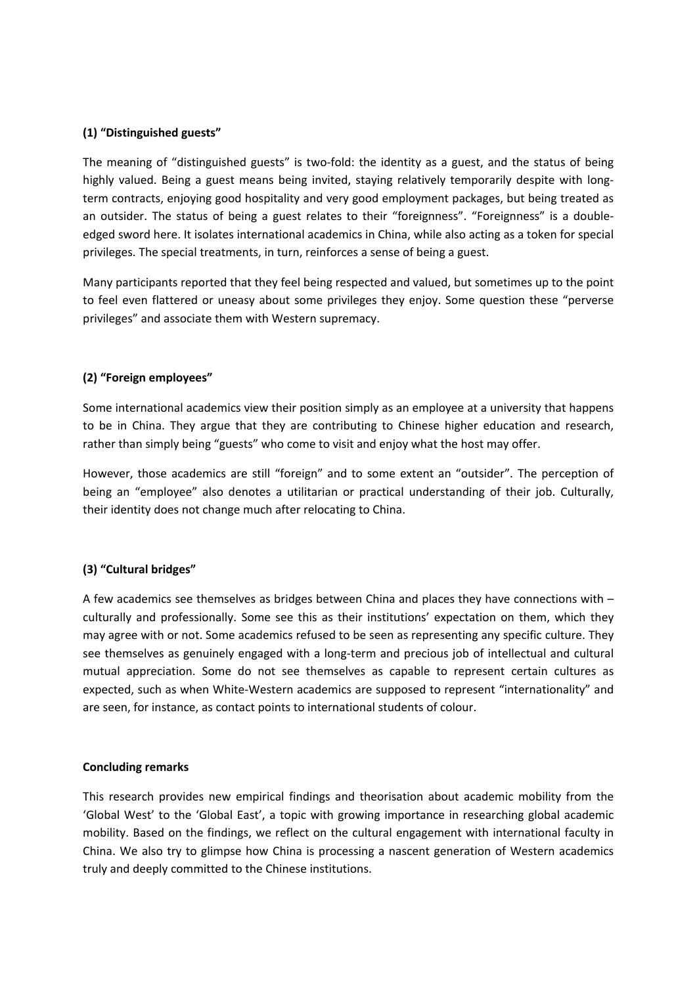## **(1) "Distinguished guests"**

The meaning of "distinguished guests" is two-fold: the identity as <sup>a</sup> guest, and the status of being highly valued. Being <sup>a</sup> guest means being invited, staying relatively temporarily despite with longterm contracts, enjoying good hospitality and very good employment packages, but being treated as an outsider. The status of being <sup>a</sup> guest relates to their "foreignness". "Foreignness" is <sup>a</sup> doubleedged sword here. It isolates international academics in China, while also acting as <sup>a</sup> token for special privileges. The special treatments, in turn, reinforces <sup>a</sup> sense of being <sup>a</sup> guest.

Many participants reported that they feel being respected and valued, but sometimes up to the point to feel even flattered or uneasy about some privileges they enjoy. Some question these "perverse privileges" and associate them with Western supremacy.

## **(2) "Foreign employees"**

Some international academics view their position simply as an employee at <sup>a</sup> university that happens to be in China. They argue that they are contributing to Chinese higher education and research, rather than simply being "guests" who come to visit and enjoy what the host may offer.

However, those academics are still "foreign" and to some extent an "outsider". The perception of being an "employee" also denotes <sup>a</sup> utilitarian or practical understanding of their job. Culturally, their identity does not change much after relocating to China.

# **(3) "Cultural bridges"**

A few academics see themselves as bridges between China and places they have connections with – culturally and professionally. Some see this as their institutions' expectation on them, which they may agree with or not. Some academics refused to be seen as representing any specific culture. They see themselves as genuinely engaged with <sup>a</sup> long-term and precious job of intellectual and cultural mutual appreciation. Some do not see themselves as capable to represent certain cultures as expected, such as when White-Western academics are supposed to represent "internationality" and are seen, for instance, as contact points to international students of colour.

#### **Concluding remarks**

This research provides new empirical findings and theorisation about academic mobility from the 'Global West' to the 'Global East', <sup>a</sup> topic with growing importance in researching global academic mobility. Based on the findings, we reflect on the cultural engagement with international faculty in China. We also try to glimpse how China is processing <sup>a</sup> nascent generation of Western academics truly and deeply committed to the Chinese institutions.